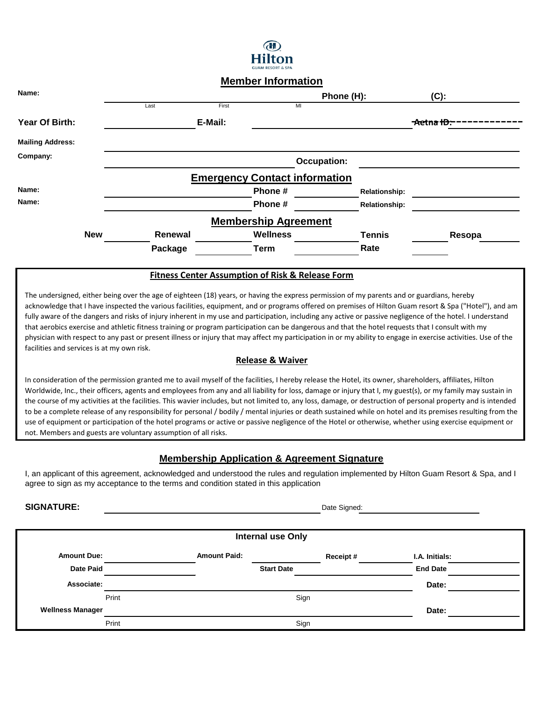

# **Member Information**

| Name:                   |            |         |         |                                      | Phone (H):         |                      | $(C)$ :    |
|-------------------------|------------|---------|---------|--------------------------------------|--------------------|----------------------|------------|
|                         |            | Last    | First   | MI                                   |                    |                      |            |
| Year Of Birth:          |            |         | E-Mail: |                                      |                    |                      | -Aetna ID: |
| <b>Mailing Address:</b> |            |         |         |                                      |                    |                      |            |
| Company:                |            |         |         |                                      | <b>Occupation:</b> |                      |            |
|                         |            |         |         | <b>Emergency Contact information</b> |                    |                      |            |
| Name:                   |            |         |         | Phone#                               |                    | <b>Relationship:</b> |            |
| Name:                   |            |         |         | Phone#                               |                    | <b>Relationship:</b> |            |
|                         |            |         |         | <b>Membership Agreement</b>          |                    |                      |            |
|                         | <b>New</b> | Renewal |         | <b>Wellness</b>                      |                    | <b>Tennis</b>        | Resopa     |
|                         |            | Package |         | Term                                 |                    | Rate                 |            |
|                         |            |         |         |                                      |                    |                      |            |

## **Fitness Center Assumption of Risk & Release Form**

The undersigned, either being over the age of eighteen (18) years, or having the express permission of my parents and or guardians, hereby acknowledge that I have inspected the various facilities, equipment, and or programs offered on premises of Hilton Guam resort & Spa ("Hotel"), and am fully aware of the dangers and risks of injury inherent in my use and participation, including any active or passive negligence of the hotel. I understand that aerobics exercise and athletic fitness training or program participation can be dangerous and that the hotel requests that I consult with my physician with respect to any past or present illness or injury that may affect my participation in or my ability to engage in exercise activities. Use of the facilities and services is at my own risk.

# **Release & Waiver**

In consideration of the permission granted me to avail myself of the facilities, I hereby release the Hotel, its owner, shareholders, affiliates, Hilton Worldwide, Inc., their officers, agents and employees from any and all liability for loss, damage or injury that I, my guest(s), or my family may sustain in the course of my activities at the facilities. This wavier includes, but not limited to, any loss, damage, or destruction of personal property and is intended to be a complete release of any responsibility for personal / bodily / mental injuries or death sustained while on hotel and its premises resulting from the use of equipment or participation of the hotel programs or active or passive negligence of the Hotel or otherwise, whether using exercise equipment or not. Members and guests are voluntary assumption of all risks.

# **Membership Application & Agreement Signature**

I, an applicant of this agreement, acknowledged and understood the rules and regulation implemented by Hilton Guam Resort & Spa, and I agree to sign as my acceptance to the terms and condition stated in this application

**SIGNATURE:** Date Signed: **Date Signed: Date Signed: Date Signed: Date Signed: Date Signed:** 

| <b>Internal use Only</b> |       |                     |                   |          |                 |  |  |  |  |  |  |
|--------------------------|-------|---------------------|-------------------|----------|-----------------|--|--|--|--|--|--|
| <b>Amount Due:</b>       |       | <b>Amount Paid:</b> |                   | Receipt# | I.A. Initials:  |  |  |  |  |  |  |
| <b>Date Paid</b>         |       |                     | <b>Start Date</b> |          | <b>End Date</b> |  |  |  |  |  |  |
| Associate:               |       |                     |                   |          | Date:           |  |  |  |  |  |  |
|                          | Print |                     | Sign              |          |                 |  |  |  |  |  |  |
| <b>Wellness Manager</b>  |       |                     |                   |          | Date:           |  |  |  |  |  |  |
|                          | Print |                     | Sign              |          |                 |  |  |  |  |  |  |